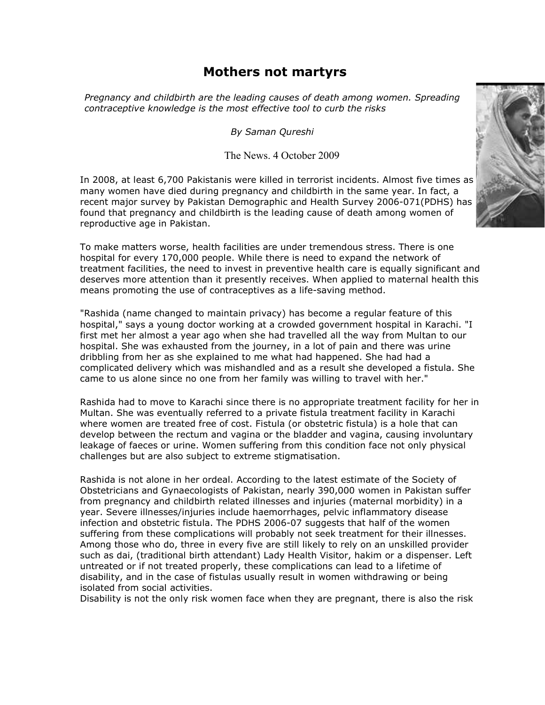# **Mothers not martyrs**

*Pregnancy and childbirth are the leading causes of death among women. Spreading contraceptive knowledge is the most effective tool to curb the risks*

*By Saman Qureshi*

## The News. 4 October 2009

In 2008, at least 6,700 Pakistanis were killed in terrorist incidents. Almost five times as many women have died during pregnancy and childbirth in the same year. In fact, a recent major survey by Pakistan Demographic and Health Survey 2006-071(PDHS) has found that pregnancy and childbirth is the leading cause of death among women of reproductive age in Pakistan.

To make matters worse, health facilities are under tremendous stress. There is one hospital for every 170,000 people. While there is need to expand the network of treatment facilities, the need to invest in preventive health care is equally significant and deserves more attention than it presently receives. When applied to maternal health this means promoting the use of contraceptives as a life-saving method.

"Rashida (name changed to maintain privacy) has become a regular feature of this hospital," says a young doctor working at a crowded government hospital in Karachi. "I first met her almost a year ago when she had travelled all the way from Multan to our hospital. She was exhausted from the journey, in a lot of pain and there was urine dribbling from her as she explained to me what had happened. She had had a complicated delivery which was mishandled and as a result she developed a fistula. She came to us alone since no one from her family was willing to travel with her."

Rashida had to move to Karachi since there is no appropriate treatment facility for her in Multan. She was eventually referred to a private fistula treatment facility in Karachi where women are treated free of cost. Fistula (or obstetric fistula) is a hole that can develop between the rectum and vagina or the bladder and vagina, causing involuntary leakage of faeces or urine. Women suffering from this condition face not only physical challenges but are also subject to extreme stigmatisation.

Rashida is not alone in her ordeal. According to the latest estimate of the Society of Obstetricians and Gynaecologists of Pakistan, nearly 390,000 women in Pakistan suffer from pregnancy and childbirth related illnesses and injuries (maternal morbidity) in a year. Severe illnesses/injuries include haemorrhages, pelvic inflammatory disease infection and obstetric fistula. The PDHS 2006-07 suggests that half of the women suffering from these complications will probably not seek treatment for their illnesses. Among those who do, three in every five are still likely to rely on an unskilled provider such as dai, (traditional birth attendant) Lady Health Visitor, hakim or a dispenser. Left untreated or if not treated properly, these complications can lead to a lifetime of disability, and in the case of fistulas usually result in women withdrawing or being isolated from social activities.

Disability is not the only risk women face when they are pregnant, there is also the risk

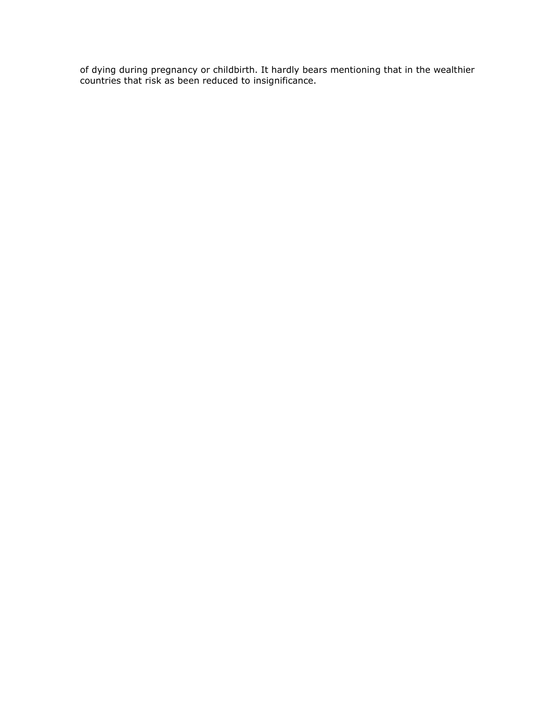of dying during pregnancy or childbirth. It hardly bears mentioning that in the wealthier countries that risk as been reduced to insignificance.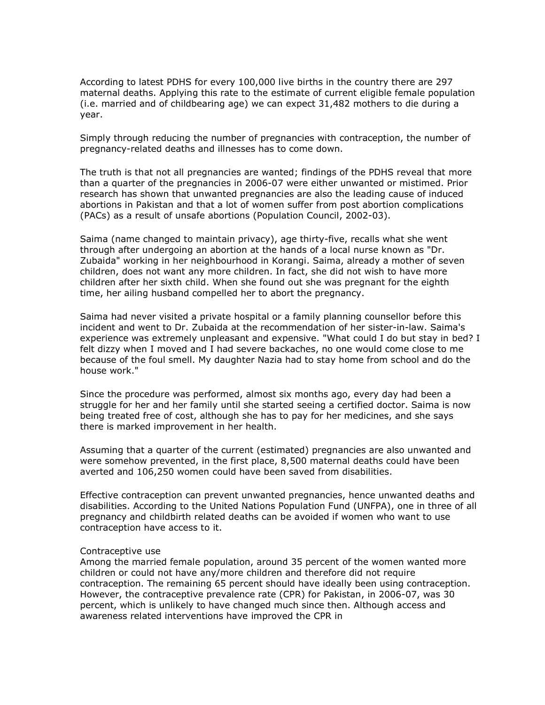According to latest PDHS for every 100,000 live births in the country there are 297 maternal deaths. Applying this rate to the estimate of current eligible female population (i.e. married and of childbearing age) we can expect 31,482 mothers to die during a year.

Simply through reducing the number of pregnancies with contraception, the number of pregnancy-related deaths and illnesses has to come down.

The truth is that not all pregnancies are wanted; findings of the PDHS reveal that more than a quarter of the pregnancies in 2006-07 were either unwanted or mistimed. Prior research has shown that unwanted pregnancies are also the leading cause of induced abortions in Pakistan and that a lot of women suffer from post abortion complications (PACs) as a result of unsafe abortions (Population Council, 2002-03).

Saima (name changed to maintain privacy), age thirty-five, recalls what she went through after undergoing an abortion at the hands of a local nurse known as "Dr. Zubaida" working in her neighbourhood in Korangi. Saima, already a mother of seven children, does not want any more children. In fact, she did not wish to have more children after her sixth child. When she found out she was pregnant for the eighth time, her ailing husband compelled her to abort the pregnancy.

Saima had never visited a private hospital or a family planning counsellor before this incident and went to Dr. Zubaida at the recommendation of her sister-in-law. Saima's experience was extremely unpleasant and expensive. "What could I do but stay in bed? I felt dizzy when I moved and I had severe backaches, no one would come close to me because of the foul smell. My daughter Nazia had to stay home from school and do the house work."

Since the procedure was performed, almost six months ago, every day had been a struggle for her and her family until she started seeing a certified doctor. Saima is now being treated free of cost, although she has to pay for her medicines, and she says there is marked improvement in her health.

Assuming that a quarter of the current (estimated) pregnancies are also unwanted and were somehow prevented, in the first place, 8,500 maternal deaths could have been averted and 106,250 women could have been saved from disabilities.

Effective contraception can prevent unwanted pregnancies, hence unwanted deaths and disabilities. According to the United Nations Population Fund (UNFPA), one in three of all pregnancy and childbirth related deaths can be avoided if women who want to use contraception have access to it.

#### Contraceptive use

Among the married female population, around 35 percent of the women wanted more children or could not have any/more children and therefore did not require contraception. The remaining 65 percent should have ideally been using contraception. However, the contraceptive prevalence rate (CPR) for Pakistan, in 2006-07, was 30 percent, which is unlikely to have changed much since then. Although access and awareness related interventions have improved the CPR in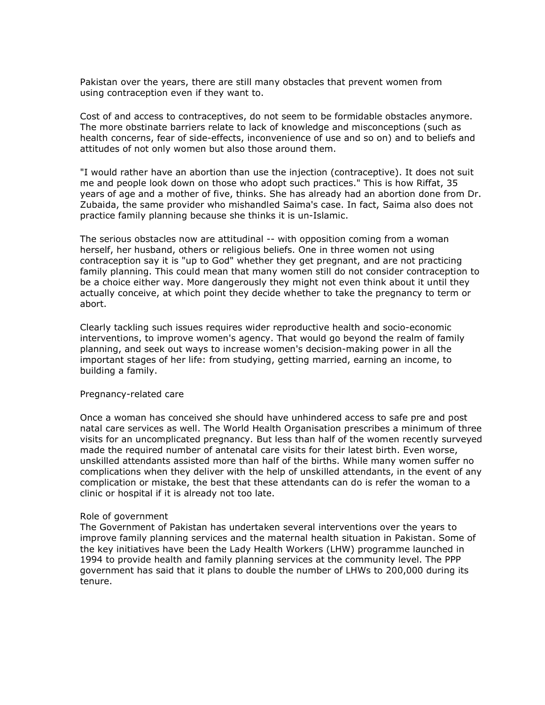Pakistan over the years, there are still many obstacles that prevent women from using contraception even if they want to.

Cost of and access to contraceptives, do not seem to be formidable obstacles anymore. The more obstinate barriers relate to lack of knowledge and misconceptions (such as health concerns, fear of side-effects, inconvenience of use and so on) and to beliefs and attitudes of not only women but also those around them.

"I would rather have an abortion than use the injection (contraceptive). It does not suit me and people look down on those who adopt such practices." This is how Riffat, 35 years of age and a mother of five, thinks. She has already had an abortion done from Dr. Zubaida, the same provider who mishandled Saima's case. In fact, Saima also does not practice family planning because she thinks it is un-Islamic.

The serious obstacles now are attitudinal -- with opposition coming from a woman herself, her husband, others or religious beliefs. One in three women not using contraception say it is "up to God" whether they get pregnant, and are not practicing family planning. This could mean that many women still do not consider contraception to be a choice either way. More dangerously they might not even think about it until they actually conceive, at which point they decide whether to take the pregnancy to term or abort.

Clearly tackling such issues requires wider reproductive health and socio-economic interventions, to improve women's agency. That would go beyond the realm of family planning, and seek out ways to increase women's decision-making power in all the important stages of her life: from studying, getting married, earning an income, to building a family.

### Pregnancy-related care

Once a woman has conceived she should have unhindered access to safe pre and post natal care services as well. The World Health Organisation prescribes a minimum of three visits for an uncomplicated pregnancy. But less than half of the women recently surveyed made the required number of antenatal care visits for their latest birth. Even worse, unskilled attendants assisted more than half of the births. While many women suffer no complications when they deliver with the help of unskilled attendants, in the event of any complication or mistake, the best that these attendants can do is refer the woman to a clinic or hospital if it is already not too late.

#### Role of government

The Government of Pakistan has undertaken several interventions over the years to improve family planning services and the maternal health situation in Pakistan. Some of the key initiatives have been the Lady Health Workers (LHW) programme launched in 1994 to provide health and family planning services at the community level. The PPP government has said that it plans to double the number of LHWs to 200,000 during its tenure.